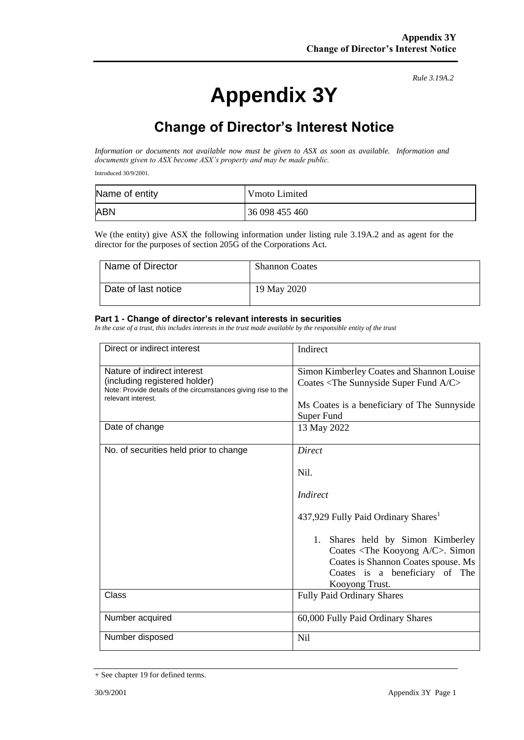# **Appendix 3Y**

*Rule 3.19A.2*

## **Change of Director's Interest Notice**

*Information or documents not available now must be given to ASX as soon as available. Information and documents given to ASX become ASX's property and may be made public.*

Introduced 30/9/2001.

| Name of entity | Vmoto Limited  |
|----------------|----------------|
| <b>ABN</b>     | 36 098 455 460 |

We (the entity) give ASX the following information under listing rule 3.19A.2 and as agent for the director for the purposes of section 205G of the Corporations Act.

| Name of Director    | <b>Shannon Coates</b> |
|---------------------|-----------------------|
| Date of last notice | 19 May 2020           |

#### **Part 1 - Change of director's relevant interests in securities**

*In the case of a trust, this includes interests in the trust made available by the responsible entity of the trust*

| Direct or indirect interest                                                                                                                         | Indirect                                                                                                                                                                 |
|-----------------------------------------------------------------------------------------------------------------------------------------------------|--------------------------------------------------------------------------------------------------------------------------------------------------------------------------|
| Nature of indirect interest<br>(including registered holder)<br>Note: Provide details of the circumstances giving rise to the<br>relevant interest. | Simon Kimberley Coates and Shannon Louise<br>Coates <the a="" c="" fund="" sunnyside="" super=""></the>                                                                  |
|                                                                                                                                                     | Ms Coates is a beneficiary of The Sunnyside<br>Super Fund                                                                                                                |
| Date of change                                                                                                                                      | 13 May 2022                                                                                                                                                              |
| No. of securities held prior to change                                                                                                              | Direct                                                                                                                                                                   |
|                                                                                                                                                     | Nil.                                                                                                                                                                     |
|                                                                                                                                                     | <i>Indirect</i>                                                                                                                                                          |
|                                                                                                                                                     | 437,929 Fully Paid Ordinary Shares <sup>1</sup>                                                                                                                          |
|                                                                                                                                                     | 1. Shares held by Simon Kimberley<br>Coates $\langle$ The Kooyong A/C>. Simon<br>Coates is Shannon Coates spouse. Ms<br>Coates is a beneficiary of The<br>Kooyong Trust. |
| Class                                                                                                                                               | <b>Fully Paid Ordinary Shares</b>                                                                                                                                        |
| Number acquired                                                                                                                                     | 60,000 Fully Paid Ordinary Shares                                                                                                                                        |
| Number disposed                                                                                                                                     | Nil                                                                                                                                                                      |

<sup>+</sup> See chapter 19 for defined terms.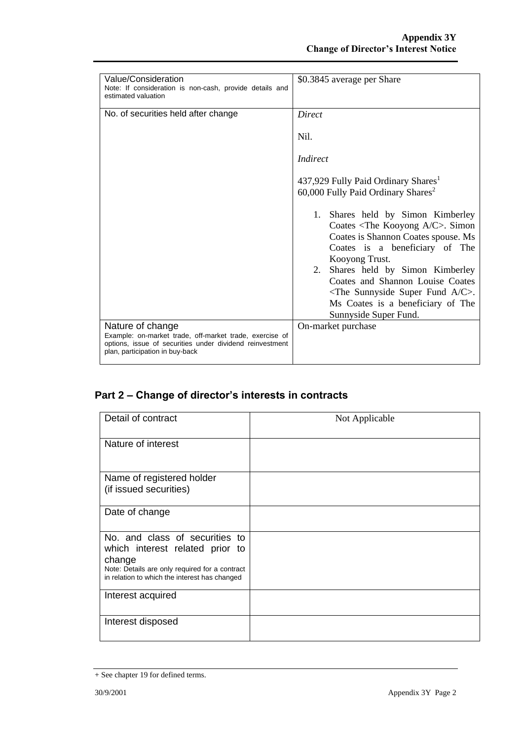| Value/Consideration<br>Note: If consideration is non-cash, provide details and<br>estimated valuation                                                                      | \$0.3845 average per Share                                                                                                                                                                                                                                                                                                                                                                                                                                              |  |
|----------------------------------------------------------------------------------------------------------------------------------------------------------------------------|-------------------------------------------------------------------------------------------------------------------------------------------------------------------------------------------------------------------------------------------------------------------------------------------------------------------------------------------------------------------------------------------------------------------------------------------------------------------------|--|
| No. of securities held after change                                                                                                                                        | Direct<br>Nil.<br>Indirect                                                                                                                                                                                                                                                                                                                                                                                                                                              |  |
|                                                                                                                                                                            | 437,929 Fully Paid Ordinary Shares <sup>1</sup><br>60,000 Fully Paid Ordinary Shares <sup>2</sup><br>1. Shares held by Simon Kimberley<br>Coates $\langle$ The Kooyong A/C>. Simon<br>Coates is Shannon Coates spouse. Ms<br>Coates is a beneficiary of The<br>Kooyong Trust.<br>Shares held by Simon Kimberley<br>2.<br>Coates and Shannon Louise Coates<br>$\langle$ The Sunnyside Super Fund A/C $>$ .<br>Ms Coates is a beneficiary of The<br>Sunnyside Super Fund. |  |
| Nature of change<br>Example: on-market trade, off-market trade, exercise of<br>options, issue of securities under dividend reinvestment<br>plan, participation in buy-back | On-market purchase                                                                                                                                                                                                                                                                                                                                                                                                                                                      |  |

### **Part 2 – Change of director's interests in contracts**

| Detail of contract                                                                                                                                                             | Not Applicable |
|--------------------------------------------------------------------------------------------------------------------------------------------------------------------------------|----------------|
| Nature of interest                                                                                                                                                             |                |
| Name of registered holder<br>(if issued securities)                                                                                                                            |                |
| Date of change                                                                                                                                                                 |                |
| No. and class of securities to<br>which interest related prior to<br>change<br>Note: Details are only required for a contract<br>in relation to which the interest has changed |                |
| Interest acquired                                                                                                                                                              |                |
| Interest disposed                                                                                                                                                              |                |

<sup>+</sup> See chapter 19 for defined terms.